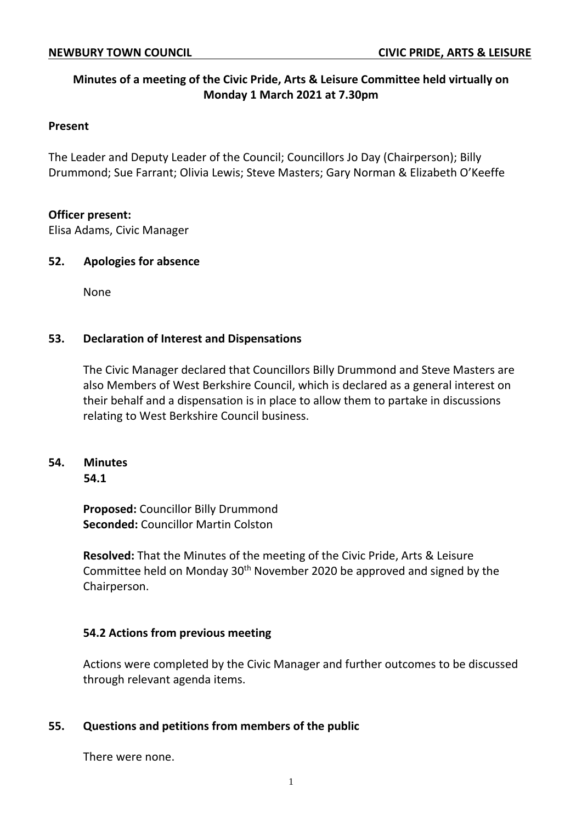# **Minutes of a meeting of the Civic Pride, Arts & Leisure Committee held virtually on Monday 1 March 2021 at 7.30pm**

#### **Present**

The Leader and Deputy Leader of the Council; Councillors Jo Day (Chairperson); Billy Drummond; Sue Farrant; Olivia Lewis; Steve Masters; Gary Norman & Elizabeth O'Keeffe

### **Officer present:**

Elisa Adams, Civic Manager

### **52. Apologies for absence**

None

### **53. Declaration of Interest and Dispensations**

The Civic Manager declared that Councillors Billy Drummond and Steve Masters are also Members of West Berkshire Council, which is declared as a general interest on their behalf and a dispensation is in place to allow them to partake in discussions relating to West Berkshire Council business.

# **54. Minutes**

**54.1**

**Proposed:** Councillor Billy Drummond **Seconded:** Councillor Martin Colston

**Resolved:** That the Minutes of the meeting of the Civic Pride, Arts & Leisure Committee held on Monday 30<sup>th</sup> November 2020 be approved and signed by the Chairperson.

# **54.2 Actions from previous meeting**

Actions were completed by the Civic Manager and further outcomes to be discussed through relevant agenda items.

# **55. Questions and petitions from members of the public**

There were none.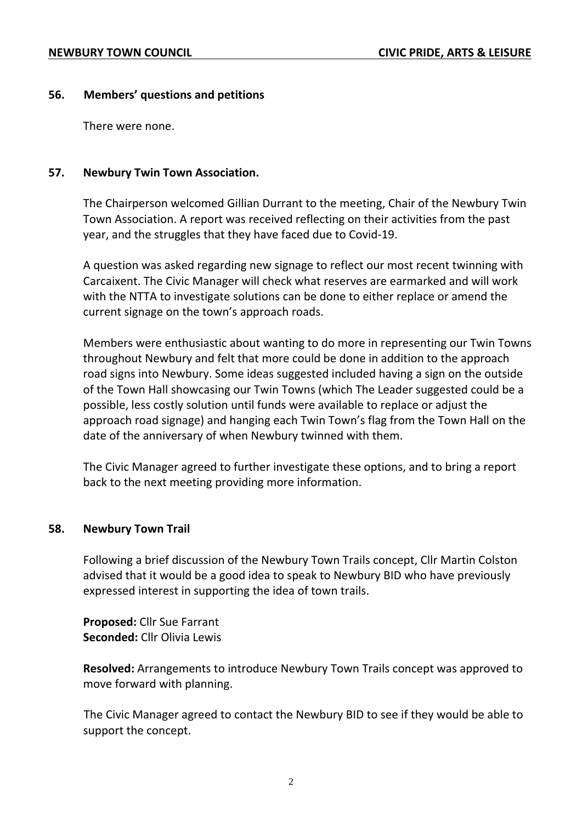# **56. Members' questions and petitions**

There were none.

# **57. Newbury Twin Town Association.**

The Chairperson welcomed Gillian Durrant to the meeting, Chair of the Newbury Twin Town Association. A report was received reflecting on their activities from the past year, and the struggles that they have faced due to Covid-19.

A question was asked regarding new signage to reflect our most recent twinning with Carcaixent. The Civic Manager will check what reserves are earmarked and will work with the NTTA to investigate solutions can be done to either replace or amend the current signage on the town's approach roads.

Members were enthusiastic about wanting to do more in representing our Twin Towns throughout Newbury and felt that more could be done in addition to the approach road signs into Newbury. Some ideas suggested included having a sign on the outside of the Town Hall showcasing our Twin Towns (which The Leader suggested could be a possible, less costly solution until funds were available to replace or adjust the approach road signage) and hanging each Twin Town's flag from the Town Hall on the date of the anniversary of when Newbury twinned with them.

The Civic Manager agreed to further investigate these options, and to bring a report back to the next meeting providing more information.

# **58. Newbury Town Trail**

Following a brief discussion of the Newbury Town Trails concept, Cllr Martin Colston advised that it would be a good idea to speak to Newbury BID who have previously expressed interest in supporting the idea of town trails.

**Proposed:** Cllr Sue Farrant **Seconded:** Cllr Olivia Lewis

**Resolved:** Arrangements to introduce Newbury Town Trails concept was approved to move forward with planning.

The Civic Manager agreed to contact the Newbury BID to see if they would be able to support the concept.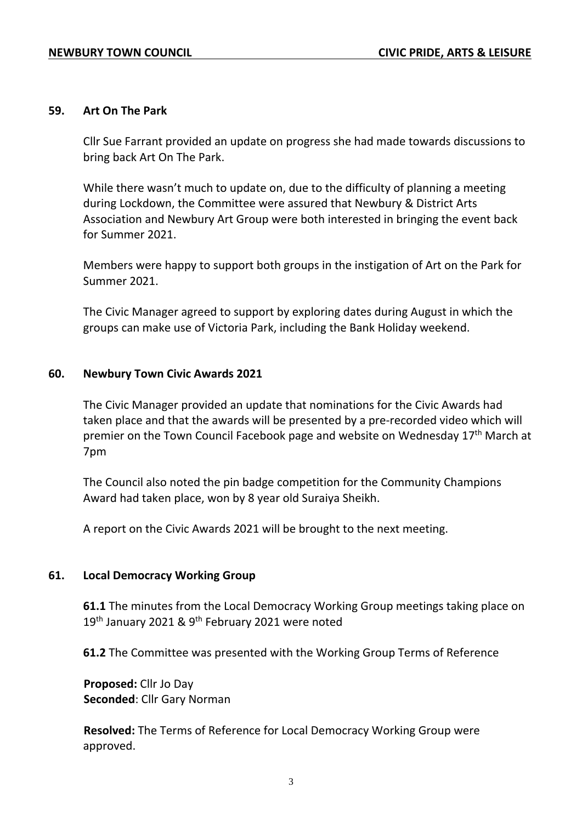#### **59. Art On The Park**

Cllr Sue Farrant provided an update on progress she had made towards discussions to bring back Art On The Park.

While there wasn't much to update on, due to the difficulty of planning a meeting during Lockdown, the Committee were assured that Newbury & District Arts Association and Newbury Art Group were both interested in bringing the event back for Summer 2021.

Members were happy to support both groups in the instigation of Art on the Park for Summer 2021.

The Civic Manager agreed to support by exploring dates during August in which the groups can make use of Victoria Park, including the Bank Holiday weekend.

#### **60. Newbury Town Civic Awards 2021**

The Civic Manager provided an update that nominations for the Civic Awards had taken place and that the awards will be presented by a pre-recorded video which will premier on the Town Council Facebook page and website on Wednesday 17<sup>th</sup> March at 7pm

The Council also noted the pin badge competition for the Community Champions Award had taken place, won by 8 year old Suraiya Sheikh.

A report on the Civic Awards 2021 will be brought to the next meeting.

#### **61. Local Democracy Working Group**

**61.1** The minutes from the Local Democracy Working Group meetings taking place on 19<sup>th</sup> January 2021 & 9<sup>th</sup> February 2021 were noted

**61.2** The Committee was presented with the Working Group Terms of Reference

**Proposed:** Cllr Jo Day **Seconded**: Cllr Gary Norman

**Resolved:** The Terms of Reference for Local Democracy Working Group were approved.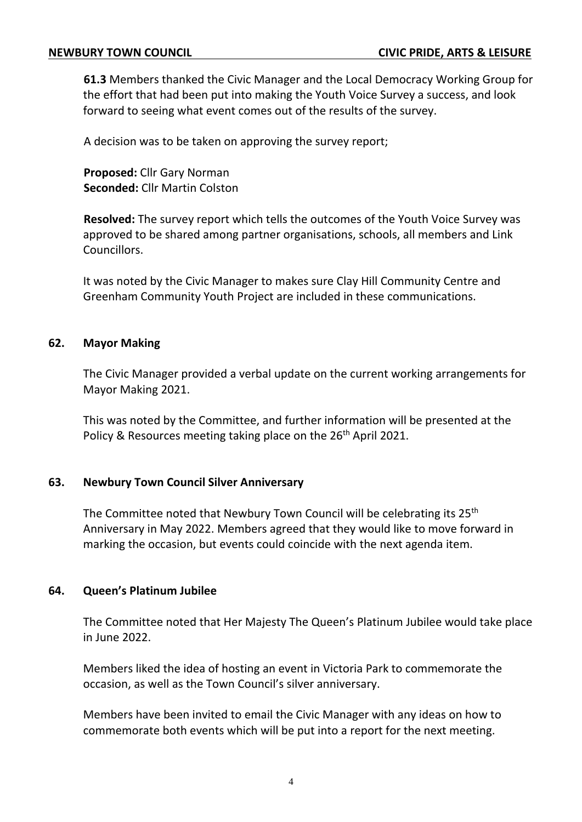**61.3** Members thanked the Civic Manager and the Local Democracy Working Group for the effort that had been put into making the Youth Voice Survey a success, and look forward to seeing what event comes out of the results of the survey.

A decision was to be taken on approving the survey report;

**Proposed:** Cllr Gary Norman **Seconded:** Cllr Martin Colston

**Resolved:** The survey report which tells the outcomes of the Youth Voice Survey was approved to be shared among partner organisations, schools, all members and Link Councillors.

It was noted by the Civic Manager to makes sure Clay Hill Community Centre and Greenham Community Youth Project are included in these communications.

# **62. Mayor Making**

The Civic Manager provided a verbal update on the current working arrangements for Mayor Making 2021.

This was noted by the Committee, and further information will be presented at the Policy & Resources meeting taking place on the 26<sup>th</sup> April 2021.

# **63. Newbury Town Council Silver Anniversary**

The Committee noted that Newbury Town Council will be celebrating its 25<sup>th</sup> Anniversary in May 2022. Members agreed that they would like to move forward in marking the occasion, but events could coincide with the next agenda item.

# **64. Queen's Platinum Jubilee**

The Committee noted that Her Majesty The Queen's Platinum Jubilee would take place in June 2022.

Members liked the idea of hosting an event in Victoria Park to commemorate the occasion, as well as the Town Council's silver anniversary.

Members have been invited to email the Civic Manager with any ideas on how to commemorate both events which will be put into a report for the next meeting.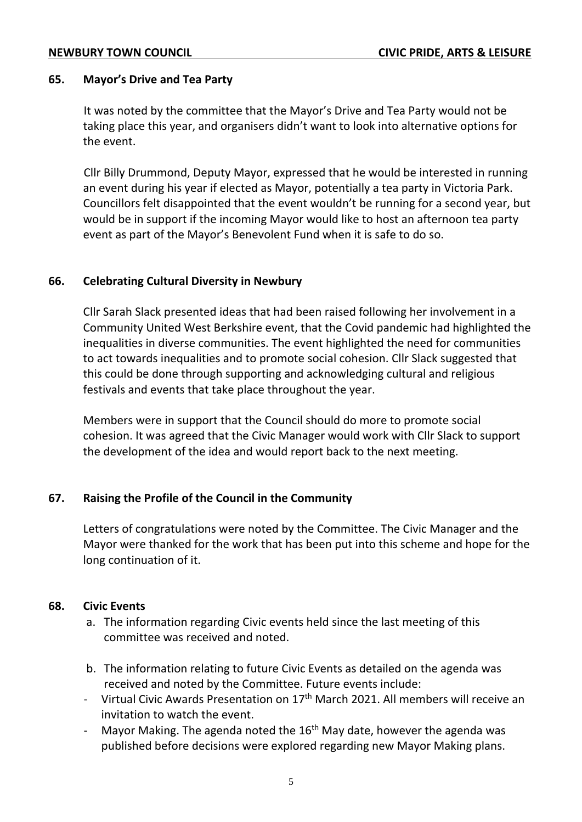## **65. Mayor's Drive and Tea Party**

It was noted by the committee that the Mayor's Drive and Tea Party would not be taking place this year, and organisers didn't want to look into alternative options for the event.

Cllr Billy Drummond, Deputy Mayor, expressed that he would be interested in running an event during his year if elected as Mayor, potentially a tea party in Victoria Park. Councillors felt disappointed that the event wouldn't be running for a second year, but would be in support if the incoming Mayor would like to host an afternoon tea party event as part of the Mayor's Benevolent Fund when it is safe to do so.

# **66. Celebrating Cultural Diversity in Newbury**

Cllr Sarah Slack presented ideas that had been raised following her involvement in a Community United West Berkshire event, that the Covid pandemic had highlighted the inequalities in diverse communities. The event highlighted the need for communities to act towards inequalities and to promote social cohesion. Cllr Slack suggested that this could be done through supporting and acknowledging cultural and religious festivals and events that take place throughout the year.

Members were in support that the Council should do more to promote social cohesion. It was agreed that the Civic Manager would work with Cllr Slack to support the development of the idea and would report back to the next meeting.

# **67. Raising the Profile of the Council in the Community**

Letters of congratulations were noted by the Committee. The Civic Manager and the Mayor were thanked for the work that has been put into this scheme and hope for the long continuation of it.

# **68. Civic Events**

- a. The information regarding Civic events held since the last meeting of this committee was received and noted.
- b. The information relating to future Civic Events as detailed on the agenda was received and noted by the Committee. Future events include:
- Virtual Civic Awards Presentation on 17<sup>th</sup> March 2021. All members will receive an invitation to watch the event.
- Mayor Making. The agenda noted the  $16<sup>th</sup>$  May date, however the agenda was published before decisions were explored regarding new Mayor Making plans.